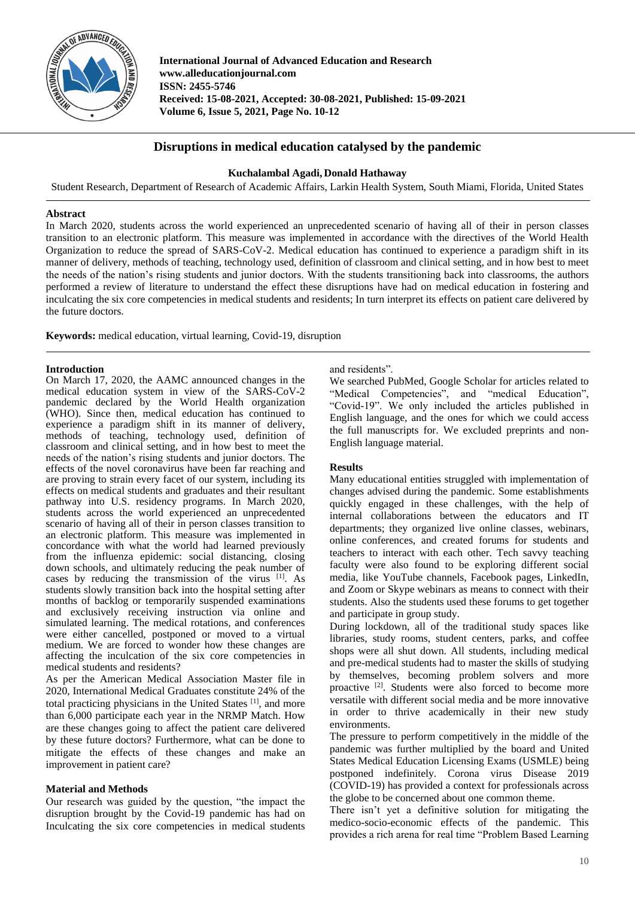

**International Journal of Advanced Education and Research www.alleducationjournal.com ISSN: 2455-5746 Received: 15-08-2021, Accepted: 30-08-2021, Published: 15-09-2021 Volume 6, Issue 5, 2021, Page No. 10-12**

# **Disruptions in medical education catalysed by the pandemic**

# **Kuchalambal Agadi, Donald Hathaway**

Student Research, Department of Research of Academic Affairs, Larkin Health System, South Miami, Florida, United States

#### **Abstract**

In March 2020, students across the world experienced an unprecedented scenario of having all of their in person classes transition to an electronic platform. This measure was implemented in accordance with the directives of the World Health Organization to reduce the spread of SARS-CoV-2. Medical education has continued to experience a paradigm shift in its manner of delivery, methods of teaching, technology used, definition of classroom and clinical setting, and in how best to meet the needs of the nation's rising students and junior doctors. With the students transitioning back into classrooms, the authors performed a review of literature to understand the effect these disruptions have had on medical education in fostering and inculcating the six core competencies in medical students and residents; In turn interpret its effects on patient care delivered by the future doctors.

**Keywords:** medical education, virtual learning, Covid-19, disruption

# **Introduction**

On March 17, 2020, the AAMC announced changes in the medical education system in view of the SARS-CoV-2 pandemic declared by the World Health organization (WHO). Since then, medical education has continued to experience a paradigm shift in its manner of delivery, methods of teaching, technology used, definition of classroom and clinical setting, and in how best to meet the needs of the nation's rising students and junior doctors. The effects of the novel coronavirus have been far reaching and are proving to strain every facet of our system, including its effects on medical students and graduates and their resultant pathway into U.S. residency programs. In March 2020, students across the world experienced an unprecedented scenario of having all of their in person classes transition to an electronic platform. This measure was implemented in concordance with what the world had learned previously from the influenza epidemic: social distancing, closing down schools, and ultimately reducing the peak number of cases by reducing the transmission of the virus [1]. As students slowly transition back into the hospital setting after months of backlog or temporarily suspended examinations and exclusively receiving instruction via online and simulated learning. The medical rotations, and conferences were either cancelled, postponed or moved to a virtual medium. We are forced to wonder how these changes are affecting the inculcation of the six core competencies in medical students and residents?

As per the American Medical Association Master file in 2020, International Medical Graduates constitute 24% of the total practicing physicians in the United States [1], and more than 6,000 participate each year in the NRMP Match. How are these changes going to affect the patient care delivered by these future doctors? Furthermore, what can be done to mitigate the effects of these changes and make an improvement in patient care?

# **Material and Methods**

Our research was guided by the question, "the impact the disruption brought by the Covid-19 pandemic has had on Inculcating the six core competencies in medical students

# and residents".

We searched PubMed, Google Scholar for articles related to "Medical Competencies", and "medical Education", "Covid-19". We only included the articles published in English language, and the ones for which we could access the full manuscripts for. We excluded preprints and non-English language material.

# **Results**

Many educational entities struggled with implementation of changes advised during the pandemic. Some establishments quickly engaged in these challenges, with the help of internal collaborations between the educators and IT departments; they organized live online classes, webinars, online conferences, and created forums for students and teachers to interact with each other. Tech savvy teaching faculty were also found to be exploring different social media, like YouTube channels, Facebook pages, LinkedIn, and Zoom or Skype webinars as means to connect with their students. Also the students used these forums to get together and participate in group study.

During lockdown, all of the traditional study spaces like libraries, study rooms, student centers, parks, and coffee shops were all shut down. All students, including medical and pre-medical students had to master the skills of studying by themselves, becoming problem solvers and more proactive <sup>[2]</sup>. Students were also forced to become more versatile with different social media and be more innovative in order to thrive academically in their new study environments.

The pressure to perform competitively in the middle of the pandemic was further multiplied by the board and United States Medical Education Licensing Exams (USMLE) being postponed indefinitely. Corona virus Disease 2019 (COVID-19) has provided a context for professionals across the globe to be concerned about one common theme.

There isn't yet a definitive solution for mitigating the medico-socio-economic effects of the pandemic. This provides a rich arena for real time "Problem Based Learning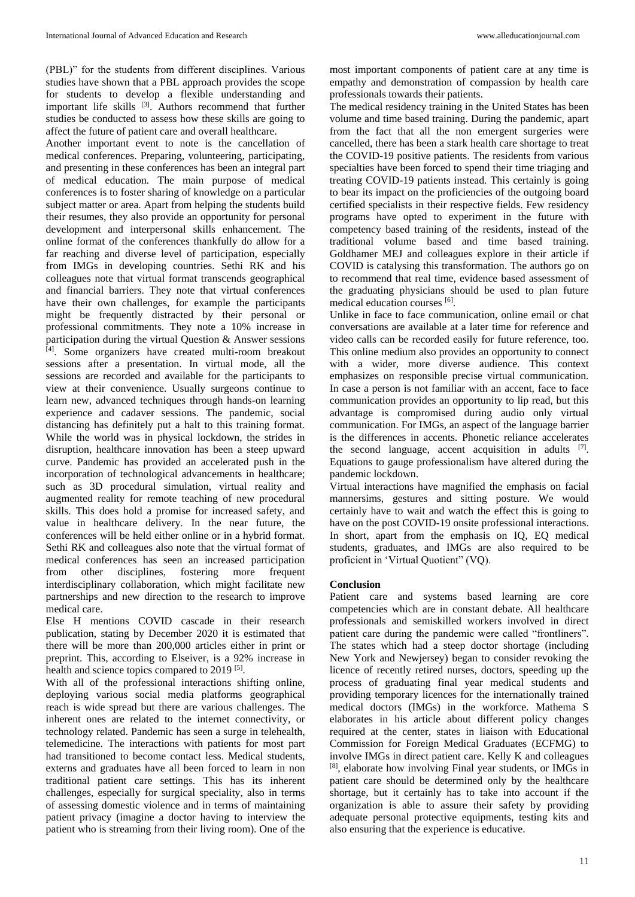(PBL)" for the students from different disciplines. Various studies have shown that a PBL approach provides the scope for students to develop a flexible understanding and important life skills [3]. Authors recommend that further studies be conducted to assess how these skills are going to affect the future of patient care and overall healthcare.

Another important event to note is the cancellation of medical conferences. Preparing, volunteering, participating, and presenting in these conferences has been an integral part of medical education. The main purpose of medical conferences is to foster sharing of knowledge on a particular subject matter or area. Apart from helping the students build their resumes, they also provide an opportunity for personal development and interpersonal skills enhancement. The online format of the conferences thankfully do allow for a far reaching and diverse level of participation, especially from IMGs in developing countries. Sethi RK and his colleagues note that virtual format transcends geographical and financial barriers. They note that virtual conferences have their own challenges, for example the participants might be frequently distracted by their personal or professional commitments. They note a 10% increase in participation during the virtual Question & Answer sessions [4]. Some organizers have created multi-room breakout sessions after a presentation. In virtual mode, all the sessions are recorded and available for the participants to view at their convenience. Usually surgeons continue to learn new, advanced techniques through hands-on learning experience and cadaver sessions. The pandemic, social distancing has definitely put a halt to this training format. While the world was in physical lockdown, the strides in disruption, healthcare innovation has been a steep upward curve. Pandemic has provided an accelerated push in the incorporation of technological advancements in healthcare; such as 3D procedural simulation, virtual reality and augmented reality for remote teaching of new procedural skills. This does hold a promise for increased safety, and value in healthcare delivery. In the near future, the conferences will be held either online or in a hybrid format. Sethi RK and colleagues also note that the virtual format of medical conferences has seen an increased participation from other disciplines, fostering more frequent interdisciplinary collaboration, which might facilitate new partnerships and new direction to the research to improve medical care.

Else H mentions COVID cascade in their research publication, stating by December 2020 it is estimated that there will be more than 200,000 articles either in print or preprint. This, according to Elseiver, is a 92% increase in health and science topics compared to 2019<sup>[5]</sup>.

With all of the professional interactions shifting online, deploying various social media platforms geographical reach is wide spread but there are various challenges. The inherent ones are related to the internet connectivity, or technology related. Pandemic has seen a surge in telehealth, telemedicine. The interactions with patients for most part had transitioned to become contact less. Medical students, externs and graduates have all been forced to learn in non traditional patient care settings. This has its inherent challenges, especially for surgical speciality, also in terms of assessing domestic violence and in terms of maintaining patient privacy (imagine a doctor having to interview the patient who is streaming from their living room). One of the

most important components of patient care at any time is empathy and demonstration of compassion by health care professionals towards their patients.

The medical residency training in the United States has been volume and time based training. During the pandemic, apart from the fact that all the non emergent surgeries were cancelled, there has been a stark health care shortage to treat the COVID-19 positive patients. The residents from various specialties have been forced to spend their time triaging and treating COVID-19 patients instead. This certainly is going to bear its impact on the proficiencies of the outgoing board certified specialists in their respective fields. Few residency programs have opted to experiment in the future with competency based training of the residents, instead of the traditional volume based and time based training. Goldhamer MEJ and colleagues explore in their article if COVID is catalysing this transformation. The authors go on to recommend that real time, evidence based assessment of the graduating physicians should be used to plan future medical education courses [6].

Unlike in face to face communication, online email or chat conversations are available at a later time for reference and video calls can be recorded easily for future reference, too. This online medium also provides an opportunity to connect with a wider, more diverse audience. This context emphasizes on responsible precise virtual communication. In case a person is not familiar with an accent, face to face communication provides an opportunity to lip read, but this advantage is compromised during audio only virtual communication. For IMGs, an aspect of the language barrier is the differences in accents. Phonetic reliance accelerates the second language, accent acquisition in adults [7]. Equations to gauge professionalism have altered during the pandemic lockdown.

Virtual interactions have magnified the emphasis on facial mannersims, gestures and sitting posture. We would certainly have to wait and watch the effect this is going to have on the post COVID-19 onsite professional interactions. In short, apart from the emphasis on IQ, EQ medical students, graduates, and IMGs are also required to be proficient in 'Virtual Quotient" (VQ).

#### **Conclusion**

Patient care and systems based learning are core competencies which are in constant debate. All healthcare professionals and semiskilled workers involved in direct patient care during the pandemic were called "frontliners". The states which had a steep doctor shortage (including New York and Newjersey) began to consider revoking the licence of recently retired nurses, doctors, speeding up the process of graduating final year medical students and providing temporary licences for the internationally trained medical doctors (IMGs) in the workforce. Mathema S elaborates in his article about different policy changes required at the center, states in liaison with Educational Commission for Foreign Medical Graduates (ECFMG) to involve IMGs in direct patient care. Kelly K and colleagues [8], elaborate how involving Final year students, or IMGs in patient care should be determined only by the healthcare shortage, but it certainly has to take into account if the organization is able to assure their safety by providing adequate personal protective equipments, testing kits and also ensuring that the experience is educative.